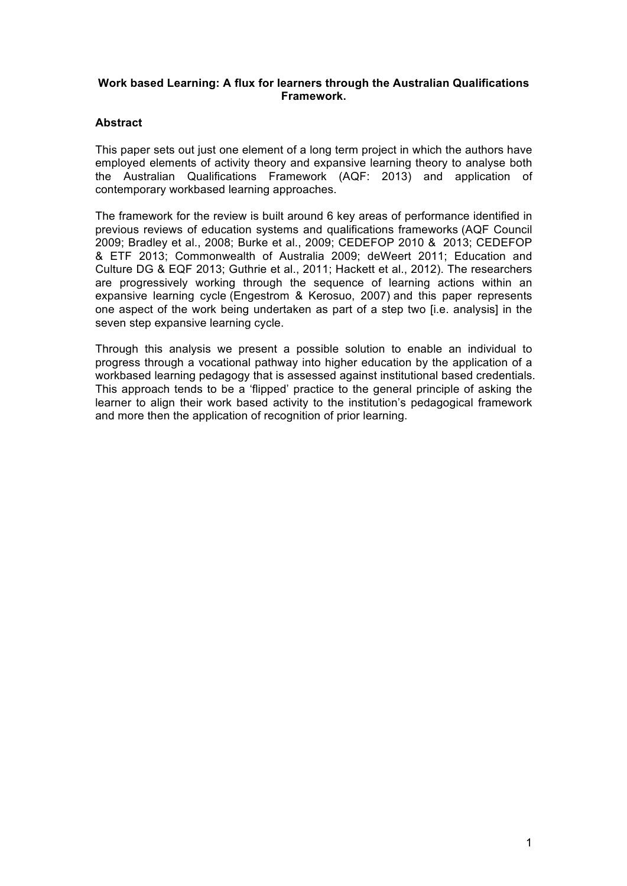# **Work based Learning: A flux for learners through the Australian Qualifications Framework.**

# **Abstract**

This paper sets out just one element of a long term project in which the authors have employed elements of activity theory and expansive learning theory to analyse both the Australian Qualifications Framework (AQF: 2013) and application of contemporary workbased learning approaches.

The framework for the review is built around 6 key areas of performance identified in previous reviews of education systems and qualifications frameworks (AQF Council 2009; Bradley et al., 2008; Burke et al., 2009; CEDEFOP 2010 & 2013; CEDEFOP & ETF 2013; Commonwealth of Australia 2009; deWeert 2011; Education and Culture DG & EQF 2013; Guthrie et al., 2011; Hackett et al., 2012). The researchers are progressively working through the sequence of learning actions within an expansive learning cycle (Engestrom & Kerosuo, 2007) and this paper represents one aspect of the work being undertaken as part of a step two [i.e. analysis] in the seven step expansive learning cycle.

Through this analysis we present a possible solution to enable an individual to progress through a vocational pathway into higher education by the application of a workbased learning pedagogy that is assessed against institutional based credentials. This approach tends to be a 'flipped' practice to the general principle of asking the learner to align their work based activity to the institution's pedagogical framework and more then the application of recognition of prior learning.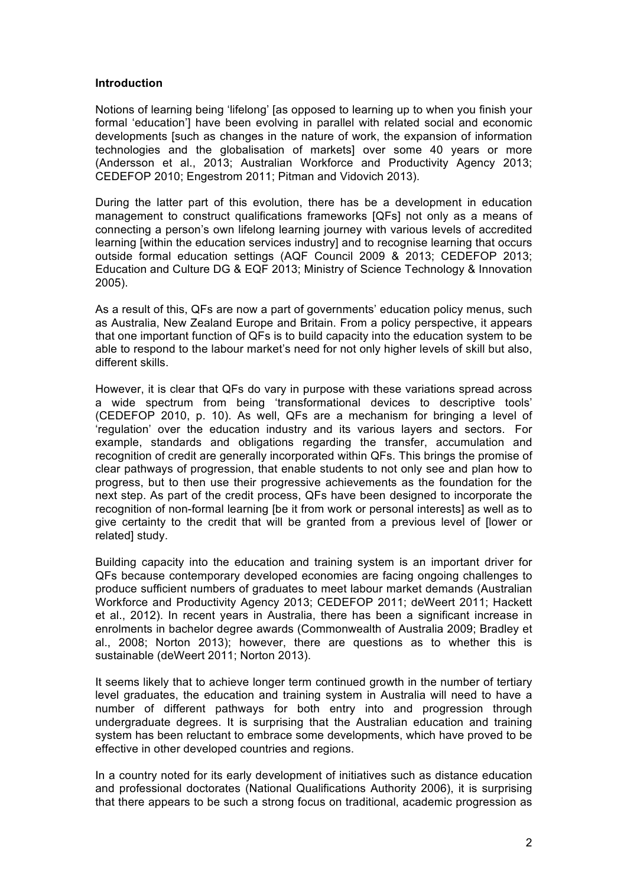#### **Introduction**

Notions of learning being 'lifelong' [as opposed to learning up to when you finish your formal 'education'] have been evolving in parallel with related social and economic developments [such as changes in the nature of work, the expansion of information technologies and the globalisation of markets] over some 40 years or more (Andersson et al., 2013; Australian Workforce and Productivity Agency 2013; CEDEFOP 2010; Engestrom 2011; Pitman and Vidovich 2013).

During the latter part of this evolution, there has be a development in education management to construct qualifications frameworks [QFs] not only as a means of connecting a person's own lifelong learning journey with various levels of accredited learning [within the education services industry] and to recognise learning that occurs outside formal education settings (AQF Council 2009 & 2013; CEDEFOP 2013; Education and Culture DG & EQF 2013; Ministry of Science Technology & Innovation 2005).

As a result of this, QFs are now a part of governments' education policy menus, such as Australia, New Zealand Europe and Britain. From a policy perspective, it appears that one important function of QFs is to build capacity into the education system to be able to respond to the labour market's need for not only higher levels of skill but also, different skills.

However, it is clear that QFs do vary in purpose with these variations spread across a wide spectrum from being 'transformational devices to descriptive tools' (CEDEFOP 2010, p. 10). As well, QFs are a mechanism for bringing a level of 'regulation' over the education industry and its various layers and sectors. For example, standards and obligations regarding the transfer, accumulation and recognition of credit are generally incorporated within QFs. This brings the promise of clear pathways of progression, that enable students to not only see and plan how to progress, but to then use their progressive achievements as the foundation for the next step. As part of the credit process, QFs have been designed to incorporate the recognition of non-formal learning [be it from work or personal interests] as well as to give certainty to the credit that will be granted from a previous level of [lower or related] study.

Building capacity into the education and training system is an important driver for QFs because contemporary developed economies are facing ongoing challenges to produce sufficient numbers of graduates to meet labour market demands (Australian Workforce and Productivity Agency 2013; CEDEFOP 2011; deWeert 2011; Hackett et al., 2012). In recent years in Australia, there has been a significant increase in enrolments in bachelor degree awards (Commonwealth of Australia 2009; Bradley et al., 2008; Norton 2013); however, there are questions as to whether this is sustainable (deWeert 2011; Norton 2013).

It seems likely that to achieve longer term continued growth in the number of tertiary level graduates, the education and training system in Australia will need to have a number of different pathways for both entry into and progression through undergraduate degrees. It is surprising that the Australian education and training system has been reluctant to embrace some developments, which have proved to be effective in other developed countries and regions.

In a country noted for its early development of initiatives such as distance education and professional doctorates (National Qualifications Authority 2006), it is surprising that there appears to be such a strong focus on traditional, academic progression as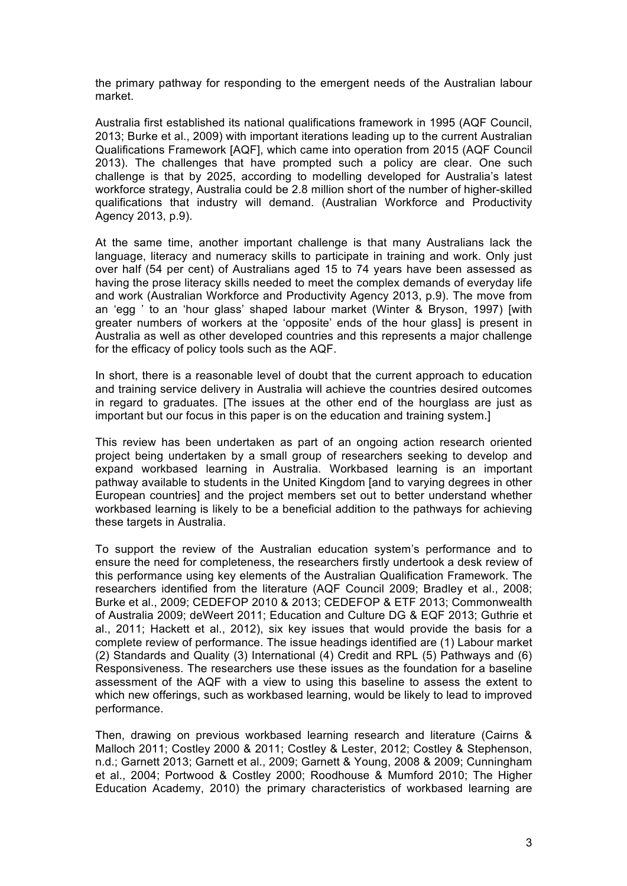the primary pathway for responding to the emergent needs of the Australian labour market.

Australia first established its national qualifications framework in 1995 (AQF Council, 2013; Burke et al., 2009) with important iterations leading up to the current Australian Qualifications Framework [AQF], which came into operation from 2015 (AQF Council 2013). The challenges that have prompted such a policy are clear. One such challenge is that by 2025, according to modelling developed for Australia's latest workforce strategy, Australia could be 2.8 million short of the number of higher-skilled qualifications that industry will demand. (Australian Workforce and Productivity Agency 2013, p.9).

At the same time, another important challenge is that many Australians lack the language, literacy and numeracy skills to participate in training and work. Only just over half (54 per cent) of Australians aged 15 to 74 years have been assessed as having the prose literacy skills needed to meet the complex demands of everyday life and work (Australian Workforce and Productivity Agency 2013, p.9). The move from an 'egg ' to an 'hour glass' shaped labour market (Winter & Bryson, 1997) [with greater numbers of workers at the 'opposite' ends of the hour glass] is present in Australia as well as other developed countries and this represents a major challenge for the efficacy of policy tools such as the AQF.

In short, there is a reasonable level of doubt that the current approach to education and training service delivery in Australia will achieve the countries desired outcomes in regard to graduates. [The issues at the other end of the hourglass are just as important but our focus in this paper is on the education and training system.]

This review has been undertaken as part of an ongoing action research oriented project being undertaken by a small group of researchers seeking to develop and expand workbased learning in Australia. Workbased learning is an important pathway available to students in the United Kingdom [and to varying degrees in other European countries] and the project members set out to better understand whether workbased learning is likely to be a beneficial addition to the pathways for achieving these targets in Australia.

To support the review of the Australian education system's performance and to ensure the need for completeness, the researchers firstly undertook a desk review of this performance using key elements of the Australian Qualification Framework. The researchers identified from the literature (AQF Council 2009; Bradley et al., 2008; Burke et al., 2009; CEDEFOP 2010 & 2013; CEDEFOP & ETF 2013; Commonwealth of Australia 2009; deWeert 2011; Education and Culture DG & EQF 2013; Guthrie et al., 2011; Hackett et al., 2012), six key issues that would provide the basis for a complete review of performance. The issue headings identified are (1) Labour market (2) Standards and Quality (3) International (4) Credit and RPL (5) Pathways and (6) Responsiveness. The researchers use these issues as the foundation for a baseline assessment of the AQF with a view to using this baseline to assess the extent to which new offerings, such as workbased learning, would be likely to lead to improved performance.

Then, drawing on previous workbased learning research and literature (Cairns & Malloch 2011; Costley 2000 & 2011; Costley & Lester, 2012; Costley & Stephenson, n.d.; Garnett 2013; Garnett et al., 2009; Garnett & Young, 2008 & 2009; Cunningham et al., 2004; Portwood & Costley 2000; Roodhouse & Mumford 2010; The Higher Education Academy, 2010) the primary characteristics of workbased learning are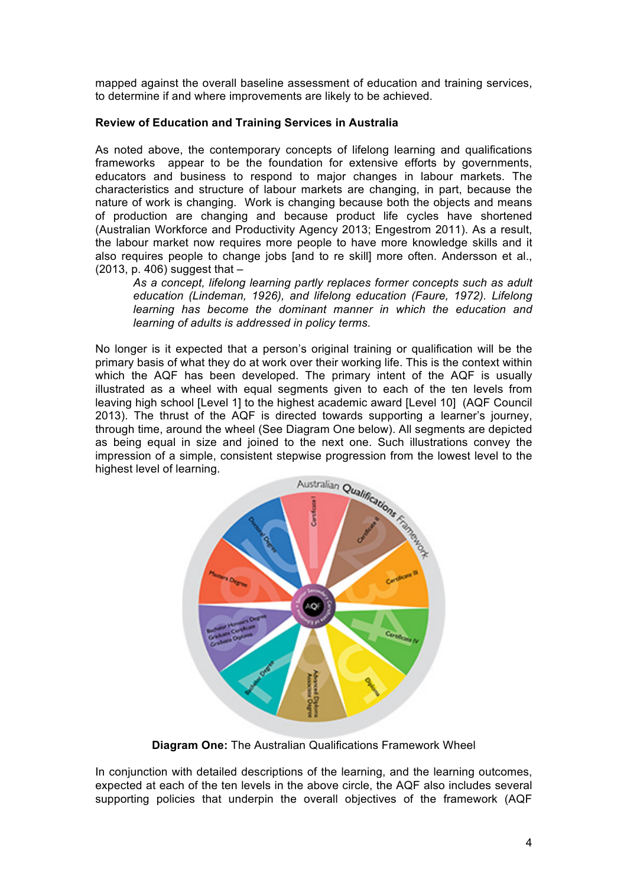mapped against the overall baseline assessment of education and training services, to determine if and where improvements are likely to be achieved.

#### **Review of Education and Training Services in Australia**

As noted above, the contemporary concepts of lifelong learning and qualifications frameworks appear to be the foundation for extensive efforts by governments, educators and business to respond to major changes in labour markets. The characteristics and structure of labour markets are changing, in part, because the nature of work is changing. Work is changing because both the objects and means of production are changing and because product life cycles have shortened (Australian Workforce and Productivity Agency 2013; Engestrom 2011). As a result, the labour market now requires more people to have more knowledge skills and it also requires people to change jobs [and to re skill] more often. Andersson et al., (2013, p. 406) suggest that –

*As a concept, lifelong learning partly replaces former concepts such as adult education (Lindeman, 1926), and lifelong education (Faure, 1972). Lifelong learning has become the dominant manner in which the education and learning of adults is addressed in policy terms.*

No longer is it expected that a person's original training or qualification will be the primary basis of what they do at work over their working life. This is the context within which the AQF has been developed. The primary intent of the AQF is usually illustrated as a wheel with equal segments given to each of the ten levels from leaving high school [Level 1] to the highest academic award [Level 10] (AQF Council 2013). The thrust of the AQF is directed towards supporting a learner's journey, through time, around the wheel (See Diagram One below). All segments are depicted as being equal in size and joined to the next one. Such illustrations convey the highest level of learning.



**Diagram One:** The Australian Qualifications Framework Wheel

In conjunction with detailed descriptions of the learning, and the learning outcomes, expected at each of the ten levels in the above circle, the AQF also includes several supporting policies that underpin the overall objectives of the framework (AQF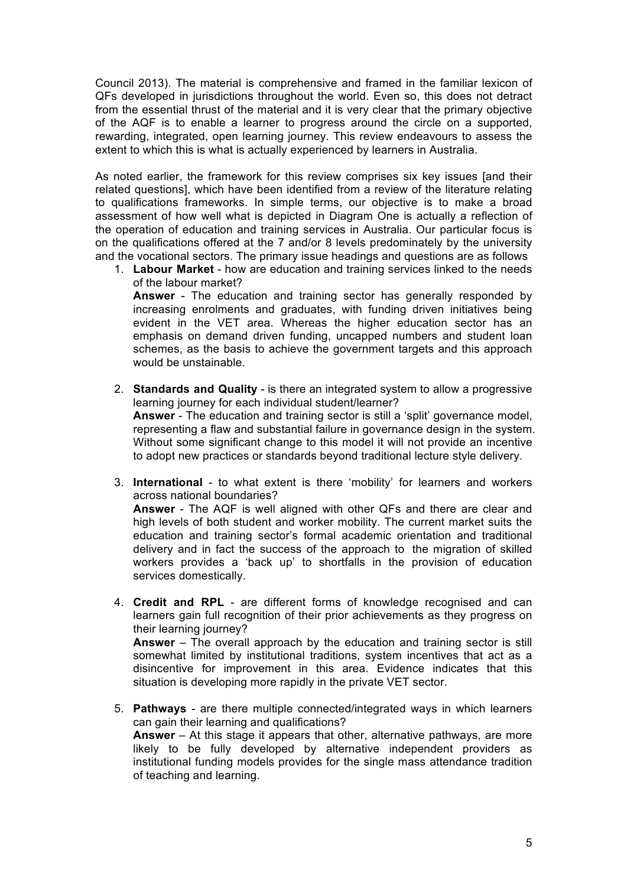Council 2013). The material is comprehensive and framed in the familiar lexicon of QFs developed in jurisdictions throughout the world. Even so, this does not detract from the essential thrust of the material and it is very clear that the primary objective of the AQF is to enable a learner to progress around the circle on a supported, rewarding, integrated, open learning journey. This review endeavours to assess the extent to which this is what is actually experienced by learners in Australia.

As noted earlier, the framework for this review comprises six key issues [and their related questions], which have been identified from a review of the literature relating to qualifications frameworks. In simple terms, our objective is to make a broad assessment of how well what is depicted in Diagram One is actually a reflection of the operation of education and training services in Australia. Our particular focus is on the qualifications offered at the 7 and/or 8 levels predominately by the university and the vocational sectors. The primary issue headings and questions are as follows

1. **Labour Market** - how are education and training services linked to the needs of the labour market? **Answer** - The education and training sector has generally responded by increasing enrolments and graduates, with funding driven initiatives being evident in the VET area. Whereas the higher education sector has an

emphasis on demand driven funding, uncapped numbers and student loan schemes, as the basis to achieve the government targets and this approach would be unstainable.

- 2. **Standards and Quality** is there an integrated system to allow a progressive learning journey for each individual student/learner? **Answer** - The education and training sector is still a 'split' governance model, representing a flaw and substantial failure in governance design in the system. Without some significant change to this model it will not provide an incentive to adopt new practices or standards beyond traditional lecture style delivery.
- 3. **International** to what extent is there 'mobility' for learners and workers across national boundaries? **Answer** - The AQF is well aligned with other QFs and there are clear and high levels of both student and worker mobility. The current market suits the education and training sector's formal academic orientation and traditional delivery and in fact the success of the approach to the migration of skilled workers provides a 'back up' to shortfalls in the provision of education services domestically.
- 4. **Credit and RPL** are different forms of knowledge recognised and can learners gain full recognition of their prior achievements as they progress on their learning journey? **Answer** – The overall approach by the education and training sector is still somewhat limited by institutional traditions, system incentives that act as a disincentive for improvement in this area. Evidence indicates that this situation is developing more rapidly in the private VET sector.
- 5. **Pathways** are there multiple connected/integrated ways in which learners can gain their learning and qualifications? **Answer** – At this stage it appears that other, alternative pathways, are more likely to be fully developed by alternative independent providers as institutional funding models provides for the single mass attendance tradition of teaching and learning.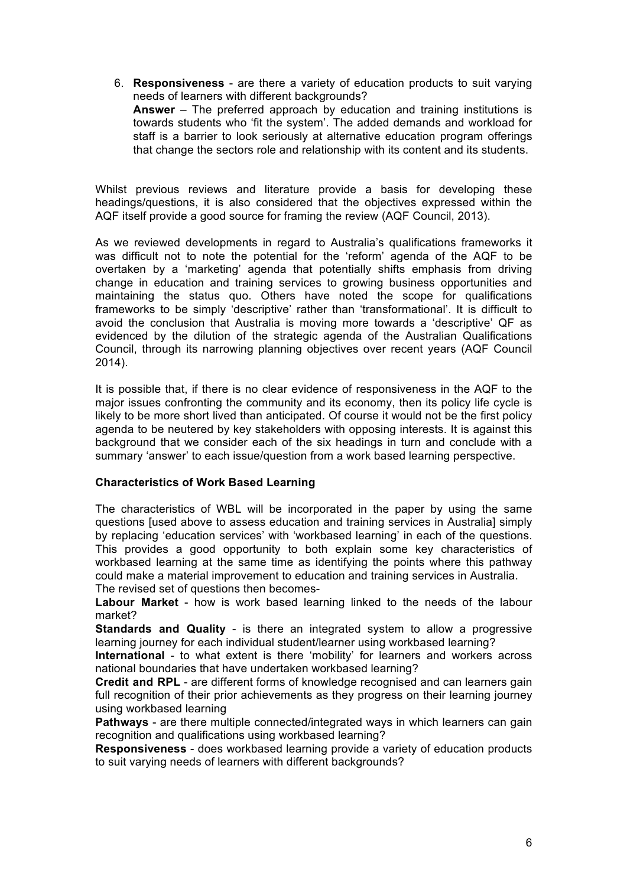6. **Responsiveness** - are there a variety of education products to suit varying needs of learners with different backgrounds? **Answer** – The preferred approach by education and training institutions is towards students who 'fit the system'. The added demands and workload for staff is a barrier to look seriously at alternative education program offerings that change the sectors role and relationship with its content and its students.

Whilst previous reviews and literature provide a basis for developing these headings/questions, it is also considered that the objectives expressed within the AQF itself provide a good source for framing the review (AQF Council, 2013).

As we reviewed developments in regard to Australia's qualifications frameworks it was difficult not to note the potential for the 'reform' agenda of the AQF to be overtaken by a 'marketing' agenda that potentially shifts emphasis from driving change in education and training services to growing business opportunities and maintaining the status quo. Others have noted the scope for qualifications frameworks to be simply 'descriptive' rather than 'transformational'. It is difficult to avoid the conclusion that Australia is moving more towards a 'descriptive' QF as evidenced by the dilution of the strategic agenda of the Australian Qualifications Council, through its narrowing planning objectives over recent years (AQF Council 2014).

It is possible that, if there is no clear evidence of responsiveness in the AQF to the major issues confronting the community and its economy, then its policy life cycle is likely to be more short lived than anticipated. Of course it would not be the first policy agenda to be neutered by key stakeholders with opposing interests. It is against this background that we consider each of the six headings in turn and conclude with a summary 'answer' to each issue/question from a work based learning perspective.

# **Characteristics of Work Based Learning**

The characteristics of WBL will be incorporated in the paper by using the same questions [used above to assess education and training services in Australia] simply by replacing 'education services' with 'workbased learning' in each of the questions. This provides a good opportunity to both explain some key characteristics of workbased learning at the same time as identifying the points where this pathway could make a material improvement to education and training services in Australia. The revised set of questions then becomes-

**Labour Market** - how is work based learning linked to the needs of the labour market?

**Standards and Quality** - is there an integrated system to allow a progressive learning journey for each individual student/learner using workbased learning?

**International** - to what extent is there 'mobility' for learners and workers across national boundaries that have undertaken workbased learning?

**Credit and RPL** - are different forms of knowledge recognised and can learners gain full recognition of their prior achievements as they progress on their learning journey using workbased learning

**Pathways** - are there multiple connected/integrated ways in which learners can gain recognition and qualifications using workbased learning?

**Responsiveness** - does workbased learning provide a variety of education products to suit varying needs of learners with different backgrounds?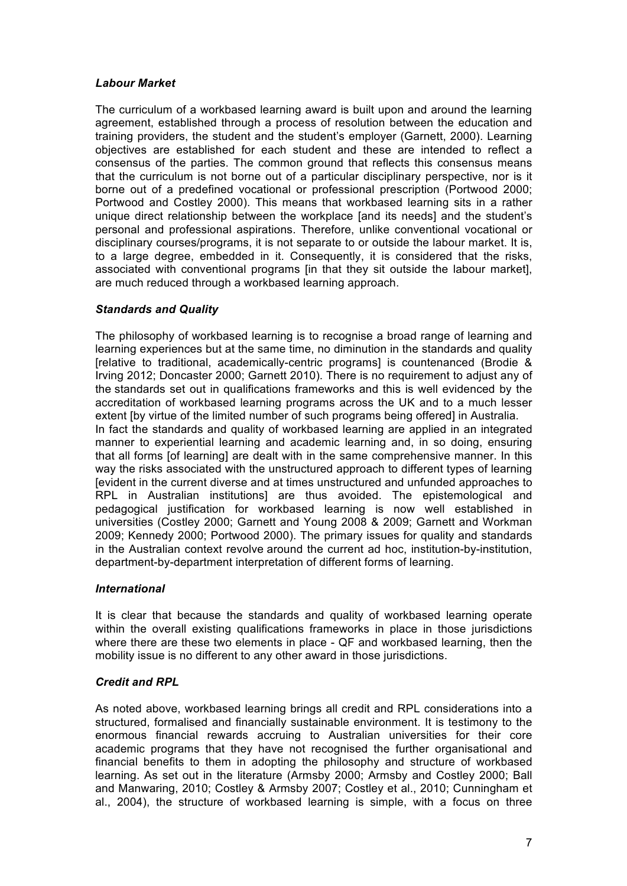# *Labour Market*

The curriculum of a workbased learning award is built upon and around the learning agreement, established through a process of resolution between the education and training providers, the student and the student's employer (Garnett, 2000). Learning objectives are established for each student and these are intended to reflect a consensus of the parties. The common ground that reflects this consensus means that the curriculum is not borne out of a particular disciplinary perspective, nor is it borne out of a predefined vocational or professional prescription (Portwood 2000; Portwood and Costley 2000). This means that workbased learning sits in a rather unique direct relationship between the workplace [and its needs] and the student's personal and professional aspirations. Therefore, unlike conventional vocational or disciplinary courses/programs, it is not separate to or outside the labour market. It is, to a large degree, embedded in it. Consequently, it is considered that the risks, associated with conventional programs [in that they sit outside the labour market], are much reduced through a workbased learning approach.

# *Standards and Quality*

The philosophy of workbased learning is to recognise a broad range of learning and learning experiences but at the same time, no diminution in the standards and quality [relative to traditional, academically-centric programs] is countenanced (Brodie & Irving 2012; Doncaster 2000; Garnett 2010). There is no requirement to adjust any of the standards set out in qualifications frameworks and this is well evidenced by the accreditation of workbased learning programs across the UK and to a much lesser extent [by virtue of the limited number of such programs being offered] in Australia.

In fact the standards and quality of workbased learning are applied in an integrated manner to experiential learning and academic learning and, in so doing, ensuring that all forms [of learning] are dealt with in the same comprehensive manner. In this way the risks associated with the unstructured approach to different types of learning [evident in the current diverse and at times unstructured and unfunded approaches to RPL in Australian institutions] are thus avoided. The epistemological and pedagogical justification for workbased learning is now well established in universities (Costley 2000; Garnett and Young 2008 & 2009; Garnett and Workman 2009; Kennedy 2000; Portwood 2000). The primary issues for quality and standards in the Australian context revolve around the current ad hoc, institution-by-institution, department-by-department interpretation of different forms of learning.

# *International*

It is clear that because the standards and quality of workbased learning operate within the overall existing qualifications frameworks in place in those jurisdictions where there are these two elements in place - QF and workbased learning, then the mobility issue is no different to any other award in those jurisdictions.

# *Credit and RPL*

As noted above, workbased learning brings all credit and RPL considerations into a structured, formalised and financially sustainable environment. It is testimony to the enormous financial rewards accruing to Australian universities for their core academic programs that they have not recognised the further organisational and financial benefits to them in adopting the philosophy and structure of workbased learning. As set out in the literature (Armsby 2000; Armsby and Costley 2000; Ball and Manwaring, 2010; Costley & Armsby 2007; Costley et al., 2010; Cunningham et al., 2004), the structure of workbased learning is simple, with a focus on three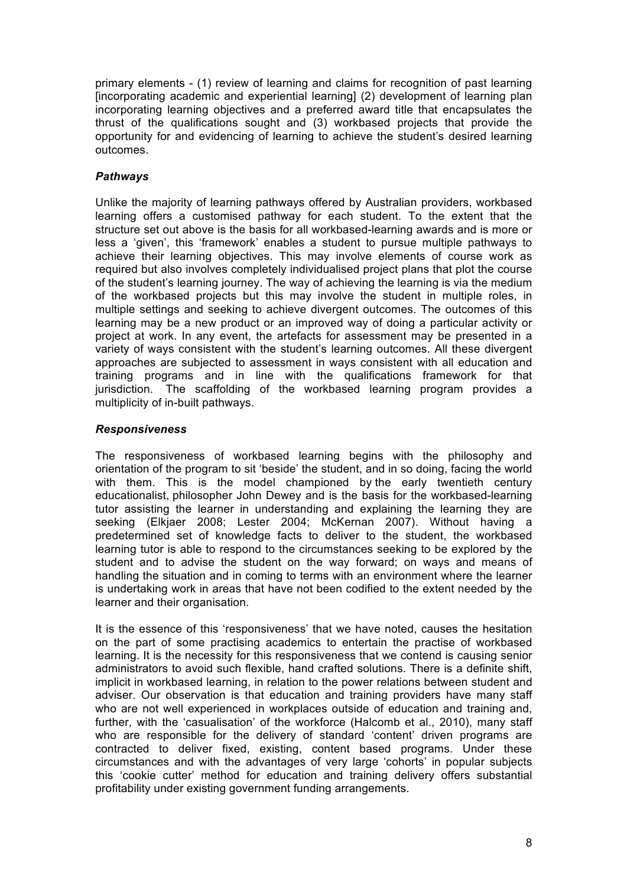primary elements - (1) review of learning and claims for recognition of past learning [incorporating academic and experiential learning] (2) development of learning plan incorporating learning objectives and a preferred award title that encapsulates the thrust of the qualifications sought and (3) workbased projects that provide the opportunity for and evidencing of learning to achieve the student's desired learning outcomes.

# *Pathways*

Unlike the majority of learning pathways offered by Australian providers, workbased learning offers a customised pathway for each student. To the extent that the structure set out above is the basis for all workbased-learning awards and is more or less a 'given', this 'framework' enables a student to pursue multiple pathways to achieve their learning objectives. This may involve elements of course work as required but also involves completely individualised project plans that plot the course of the student's learning journey. The way of achieving the learning is via the medium of the workbased projects but this may involve the student in multiple roles, in multiple settings and seeking to achieve divergent outcomes. The outcomes of this learning may be a new product or an improved way of doing a particular activity or project at work. In any event, the artefacts for assessment may be presented in a variety of ways consistent with the student's learning outcomes. All these divergent approaches are subjected to assessment in ways consistent with all education and training programs and in line with the qualifications framework for that jurisdiction. The scaffolding of the workbased learning program provides a multiplicity of in-built pathways.

# *Responsiveness*

The responsiveness of workbased learning begins with the philosophy and orientation of the program to sit 'beside' the student, and in so doing, facing the world with them. This is the model championed by the early twentieth century educationalist, philosopher John Dewey and is the basis for the workbased-learning tutor assisting the learner in understanding and explaining the learning they are seeking (Elkjaer 2008; Lester 2004; McKernan 2007). Without having a predetermined set of knowledge facts to deliver to the student, the workbased learning tutor is able to respond to the circumstances seeking to be explored by the student and to advise the student on the way forward; on ways and means of handling the situation and in coming to terms with an environment where the learner is undertaking work in areas that have not been codified to the extent needed by the learner and their organisation.

It is the essence of this 'responsiveness' that we have noted, causes the hesitation on the part of some practising academics to entertain the practise of workbased learning. It is the necessity for this responsiveness that we contend is causing senior administrators to avoid such flexible, hand crafted solutions. There is a definite shift, implicit in workbased learning, in relation to the power relations between student and adviser. Our observation is that education and training providers have many staff who are not well experienced in workplaces outside of education and training and, further, with the 'casualisation' of the workforce (Halcomb et al., 2010), many staff who are responsible for the delivery of standard 'content' driven programs are contracted to deliver fixed, existing, content based programs. Under these circumstances and with the advantages of very large 'cohorts' in popular subjects this 'cookie cutter' method for education and training delivery offers substantial profitability under existing government funding arrangements.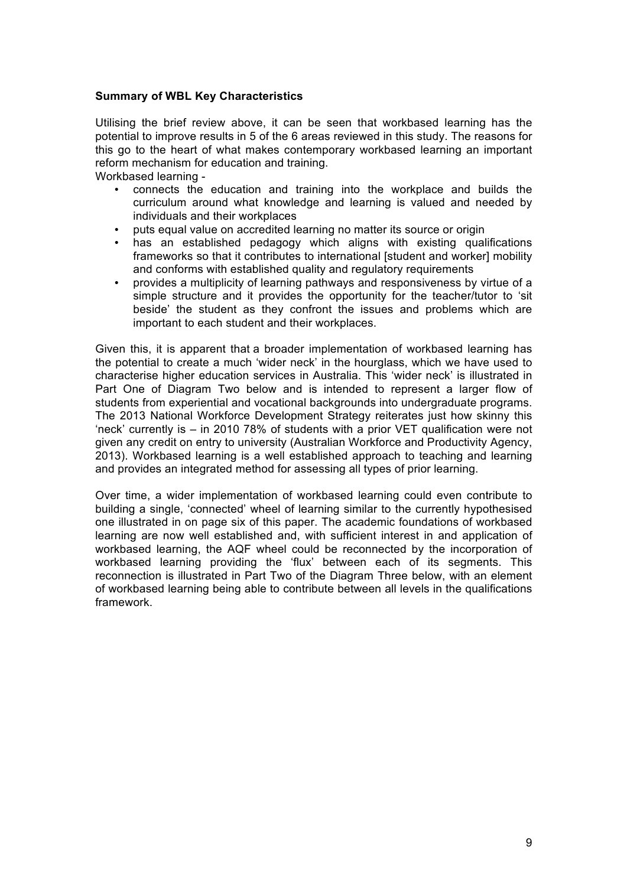#### **Summary of WBL Key Characteristics**

Utilising the brief review above, it can be seen that workbased learning has the potential to improve results in 5 of the 6 areas reviewed in this study. The reasons for this go to the heart of what makes contemporary workbased learning an important reform mechanism for education and training.

Workbased learning -

- connects the education and training into the workplace and builds the curriculum around what knowledge and learning is valued and needed by individuals and their workplaces
- puts equal value on accredited learning no matter its source or origin
- has an established pedagogy which aligns with existing qualifications frameworks so that it contributes to international [student and worker] mobility and conforms with established quality and regulatory requirements
- provides a multiplicity of learning pathways and responsiveness by virtue of a simple structure and it provides the opportunity for the teacher/tutor to 'sit beside' the student as they confront the issues and problems which are important to each student and their workplaces.

Given this, it is apparent that a broader implementation of workbased learning has the potential to create a much 'wider neck' in the hourglass, which we have used to characterise higher education services in Australia. This 'wider neck' is illustrated in Part One of Diagram Two below and is intended to represent a larger flow of students from experiential and vocational backgrounds into undergraduate programs. The 2013 National Workforce Development Strategy reiterates just how skinny this 'neck' currently is – in 2010 78% of students with a prior VET qualification were not given any credit on entry to university (Australian Workforce and Productivity Agency, 2013). Workbased learning is a well established approach to teaching and learning and provides an integrated method for assessing all types of prior learning.

Over time, a wider implementation of workbased learning could even contribute to building a single, 'connected' wheel of learning similar to the currently hypothesised one illustrated in on page six of this paper. The academic foundations of workbased learning are now well established and, with sufficient interest in and application of workbased learning, the AQF wheel could be reconnected by the incorporation of workbased learning providing the 'flux' between each of its segments. This reconnection is illustrated in Part Two of the Diagram Three below, with an element of workbased learning being able to contribute between all levels in the qualifications framework.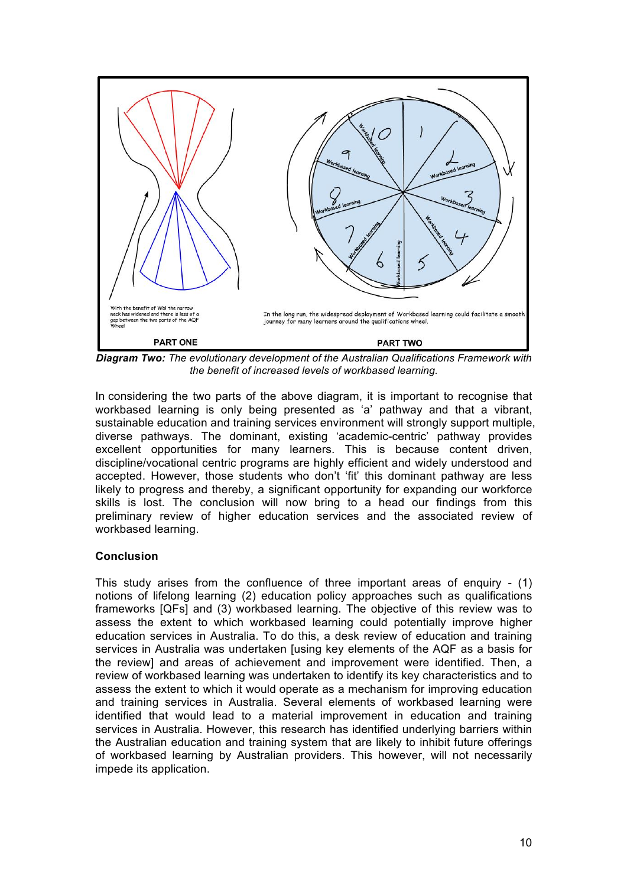

*Diagram Two: The evolutionary development of the Australian Qualifications Framework with the benefit of increased levels of workbased learning.*

In considering the two parts of the above diagram, it is important to recognise that workbased learning is only being presented as 'a' pathway and that a vibrant, sustainable education and training services environment will strongly support multiple, diverse pathways. The dominant, existing 'academic-centric' pathway provides excellent opportunities for many learners. This is because content driven, discipline/vocational centric programs are highly efficient and widely understood and accepted. However, those students who don't 'fit' this dominant pathway are less likely to progress and thereby, a significant opportunity for expanding our workforce skills is lost. The conclusion will now bring to a head our findings from this preliminary review of higher education services and the associated review of workbased learning.

# **Conclusion**

This study arises from the confluence of three important areas of enquiry - (1) notions of lifelong learning (2) education policy approaches such as qualifications frameworks [QFs] and (3) workbased learning. The objective of this review was to assess the extent to which workbased learning could potentially improve higher education services in Australia. To do this, a desk review of education and training services in Australia was undertaken [using key elements of the AQF as a basis for the review] and areas of achievement and improvement were identified. Then, a review of workbased learning was undertaken to identify its key characteristics and to assess the extent to which it would operate as a mechanism for improving education and training services in Australia. Several elements of workbased learning were identified that would lead to a material improvement in education and training services in Australia. However, this research has identified underlying barriers within the Australian education and training system that are likely to inhibit future offerings of workbased learning by Australian providers. This however, will not necessarily impede its application.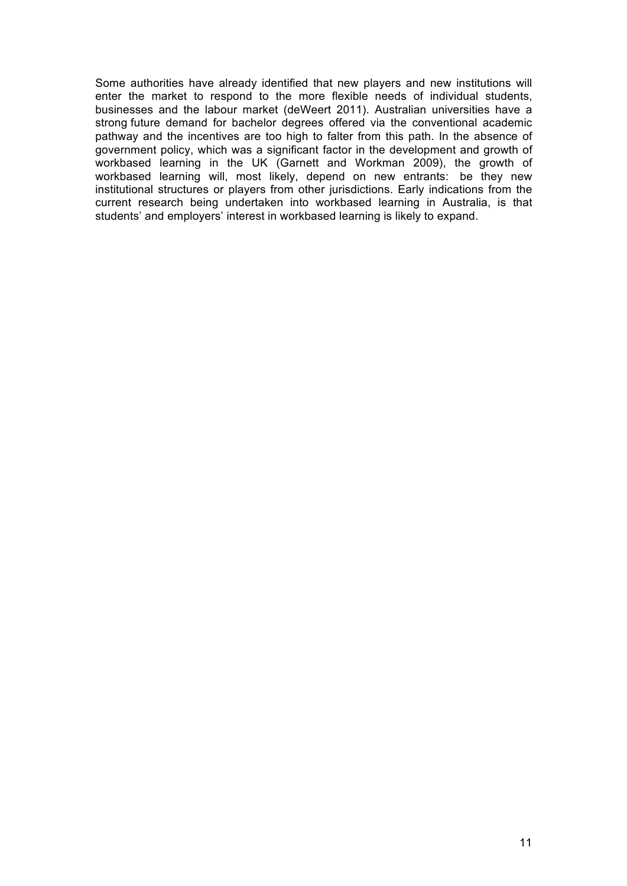Some authorities have already identified that new players and new institutions will enter the market to respond to the more flexible needs of individual students, businesses and the labour market (deWeert 2011). Australian universities have a strong future demand for bachelor degrees offered via the conventional academic pathway and the incentives are too high to falter from this path. In the absence of government policy, which was a significant factor in the development and growth of workbased learning in the UK (Garnett and Workman 2009), the growth of workbased learning will, most likely, depend on new entrants: be they new institutional structures or players from other jurisdictions. Early indications from the current research being undertaken into workbased learning in Australia, is that students' and employers' interest in workbased learning is likely to expand.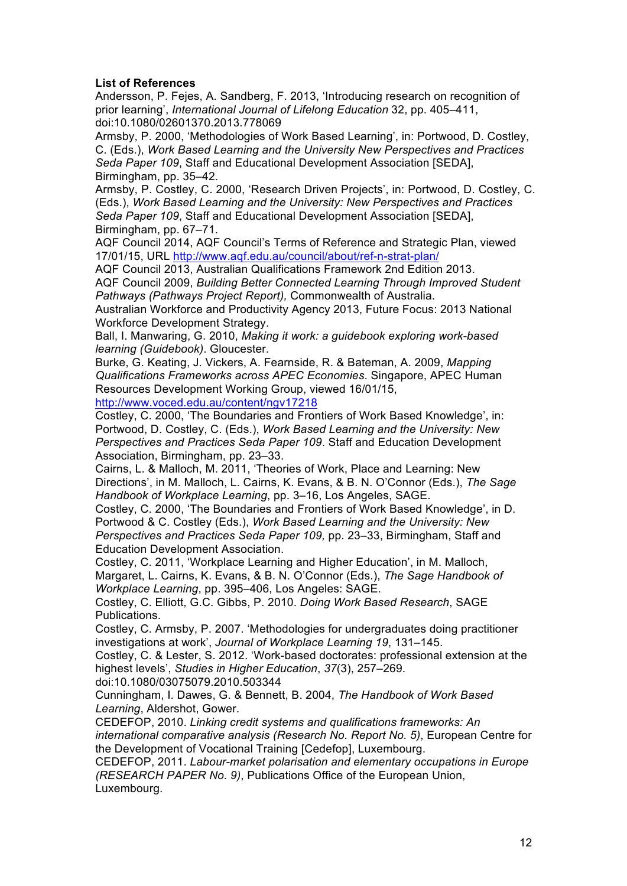#### **List of References**

Andersson, P. Fejes, A. Sandberg, F. 2013, 'Introducing research on recognition of prior learning', *International Journal of Lifelong Education* 32, pp. 405–411, doi:10.1080/02601370.2013.778069

Armsby, P. 2000, 'Methodologies of Work Based Learning', in: Portwood, D. Costley, C. (Eds.), *Work Based Learning and the University New Perspectives and Practices Seda Paper 109*, Staff and Educational Development Association [SEDA], Birmingham, pp. 35–42.

Armsby, P. Costley, C. 2000, 'Research Driven Projects', in: Portwood, D. Costley, C. (Eds.), *Work Based Learning and the University: New Perspectives and Practices Seda Paper 109*, Staff and Educational Development Association [SEDA], Birmingham, pp. 67–71.

AQF Council 2014, AQF Council's Terms of Reference and Strategic Plan, viewed 17/01/15, URL http://www.aqf.edu.au/council/about/ref-n-strat-plan/

AQF Council 2013, Australian Qualifications Framework 2nd Edition 2013. AQF Council 2009, *Building Better Connected Learning Through Improved Student Pathways (Pathways Project Report),* Commonwealth of Australia.

Australian Workforce and Productivity Agency 2013, Future Focus: 2013 National Workforce Development Strategy.

Ball, I. Manwaring, G. 2010, *Making it work: a guidebook exploring work-based learning (Guidebook)*. Gloucester.

Burke, G. Keating, J. Vickers, A. Fearnside, R. & Bateman, A. 2009, *Mapping Qualifications Frameworks across APEC Economies*. Singapore, APEC Human Resources Development Working Group, viewed 16/01/15,

http://www.voced.edu.au/content/ngv17218

Costley, C. 2000, 'The Boundaries and Frontiers of Work Based Knowledge', in: Portwood, D. Costley, C. (Eds.), *Work Based Learning and the University: New Perspectives and Practices Seda Paper 109*. Staff and Education Development Association, Birmingham, pp. 23–33.

Cairns, L. & Malloch, M. 2011, 'Theories of Work, Place and Learning: New Directions', in M. Malloch, L. Cairns, K. Evans, & B. N. O'Connor (Eds.), *The Sage Handbook of Workplace Learning*, pp. 3–16, Los Angeles, SAGE.

Costley, C. 2000, 'The Boundaries and Frontiers of Work Based Knowledge', in D. Portwood & C. Costley (Eds.), *Work Based Learning and the University: New Perspectives and Practices Seda Paper 109,* pp. 23–33, Birmingham, Staff and Education Development Association.

Costley, C. 2011, 'Workplace Learning and Higher Education', in M. Malloch, Margaret, L. Cairns, K. Evans, & B. N. O'Connor (Eds.), *The Sage Handbook of Workplace Learning*, pp. 395–406, Los Angeles: SAGE.

Costley, C. Elliott, G.C. Gibbs, P. 2010. *Doing Work Based Research*, SAGE Publications.

Costley, C. Armsby, P. 2007. 'Methodologies for undergraduates doing practitioner investigations at work', *Journal of Workplace Learning 19*, 131–145.

Costley, C. & Lester, S. 2012. 'Work-based doctorates: professional extension at the highest levels', *Studies in Higher Education*, *37*(3), 257–269.

doi:10.1080/03075079.2010.503344

Cunningham, I. Dawes, G. & Bennett, B. 2004, *The Handbook of Work Based Learning*, Aldershot, Gower.

CEDEFOP, 2010. *Linking credit systems and qualifications frameworks: An international comparative analysis (Research No. Report No. 5)*, European Centre for the Development of Vocational Training [Cedefop], Luxembourg.

CEDEFOP, 2011. *Labour-market polarisation and elementary occupations in Europe (RESEARCH PAPER No. 9)*, Publications Office of the European Union, Luxembourg.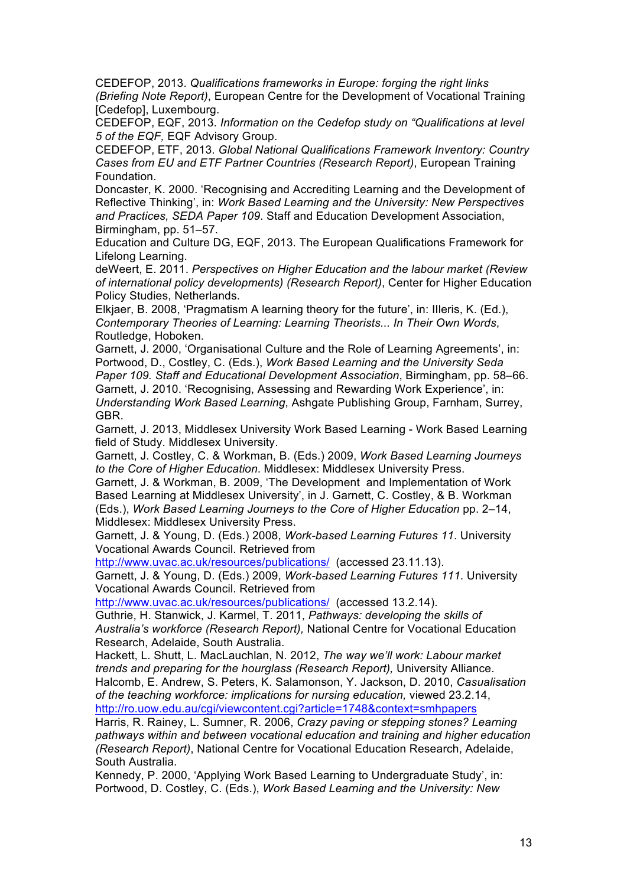CEDEFOP, 2013. *Qualifications frameworks in Europe: forging the right links (Briefing Note Report)*, European Centre for the Development of Vocational Training [Cedefop], Luxembourg.

CEDEFOP, EQF, 2013. *Information on the Cedefop study on "Qualifications at level 5 of the EQF,* EQF Advisory Group.

CEDEFOP, ETF, 2013. *Global National Qualifications Framework Inventory: Country Cases from EU and ETF Partner Countries (Research Report)*, European Training Foundation.

Doncaster, K. 2000. 'Recognising and Accrediting Learning and the Development of Reflective Thinking', in: *Work Based Learning and the University: New Perspectives and Practices, SEDA Paper 109*. Staff and Education Development Association, Birmingham, pp. 51–57.

Education and Culture DG, EQF, 2013. The European Qualifications Framework for Lifelong Learning.

deWeert, E. 2011. *Perspectives on Higher Education and the labour market (Review of international policy developments) (Research Report)*, Center for Higher Education Policy Studies, Netherlands.

Elkjaer, B. 2008, 'Pragmatism A learning theory for the future', in: IIleris, K. (Ed.), *Contemporary Theories of Learning: Learning Theorists... In Their Own Words*, Routledge, Hoboken.

Garnett, J. 2000, 'Organisational Culture and the Role of Learning Agreements', in: Portwood, D., Costley, C. (Eds.), *Work Based Learning and the University Seda Paper 109. Staff and Educational Development Association*, Birmingham, pp. 58–66. Garnett, J. 2010. 'Recognising, Assessing and Rewarding Work Experience', in: *Understanding Work Based Learning*, Ashgate Publishing Group, Farnham, Surrey, GBR.

Garnett, J. 2013, Middlesex University Work Based Learning - Work Based Learning field of Study. Middlesex University.

Garnett, J. Costley, C. & Workman, B. (Eds.) 2009, *Work Based Learning Journeys to the Core of Higher Education*. Middlesex: Middlesex University Press.

Garnett, J. & Workman, B. 2009, 'The Development and Implementation of Work Based Learning at Middlesex University', in J. Garnett, C. Costley, & B. Workman (Eds.), *Work Based Learning Journeys to the Core of Higher Education* pp. 2–14, Middlesex: Middlesex University Press.

Garnett, J. & Young, D. (Eds.) 2008, *Work-based Learning Futures 11*. University Vocational Awards Council. Retrieved from

http://www.uvac.ac.uk/resources/publications/ (accessed 23.11.13).

Garnett, J. & Young, D. (Eds.) 2009, *Work-based Learning Futures 111*. University Vocational Awards Council. Retrieved from

http://www.uvac.ac.uk/resources/publications/ (accessed 13.2.14).

Guthrie, H. Stanwick, J. Karmel, T. 2011, *Pathways: developing the skills of Australia's workforce (Research Report),* National Centre for Vocational Education Research, Adelaide, South Australia.

Hackett, L. Shutt, L. MacLauchlan, N. 2012, *The way we'll work: Labour market trends and preparing for the hourglass (Research Report),* University Alliance. Halcomb, E. Andrew, S. Peters, K. Salamonson, Y. Jackson, D. 2010, *Casualisation of the teaching workforce: implications for nursing education,* viewed 23.2.14, http://ro.uow.edu.au/cgi/viewcontent.cgi?article=1748&context=smhpapers

Harris, R. Rainey, L. Sumner, R. 2006, *Crazy paving or stepping stones? Learning pathways within and between vocational education and training and higher education (Research Report)*, National Centre for Vocational Education Research, Adelaide, South Australia.

Kennedy, P. 2000, 'Applying Work Based Learning to Undergraduate Study', in: Portwood, D. Costley, C. (Eds.), *Work Based Learning and the University: New*